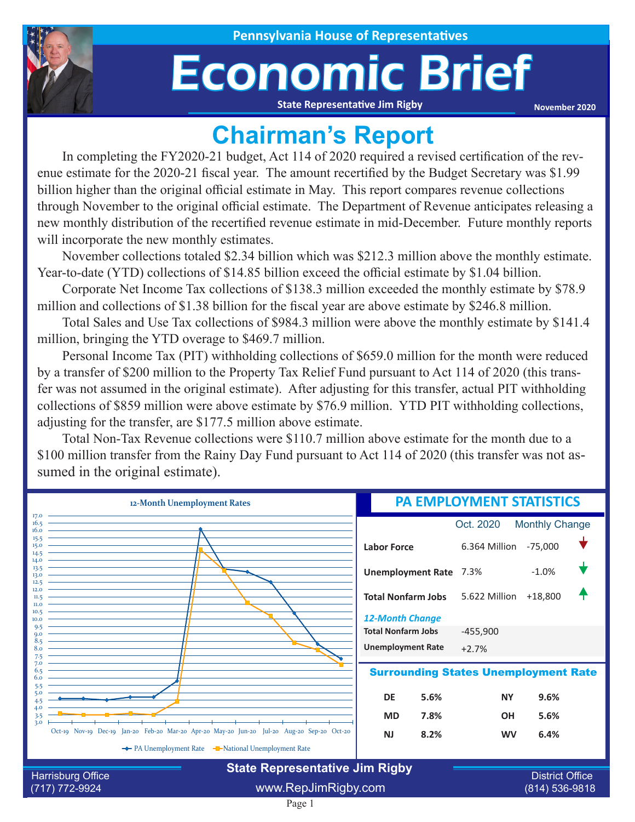

## Economic Brief

**State Representative Jim Rigby**

**November 2020**

## **Chairman's Report**

In completing the FY2020-21 budget, Act 114 of 2020 required a revised certification of the revenue estimate for the 2020-21 fiscal year. The amount recertified by the Budget Secretary was \$1.99 billion higher than the original official estimate in May. This report compares revenue collections through November to the original official estimate. The Department of Revenue anticipates releasing a new monthly distribution of the recertified revenue estimate in mid-December. Future monthly reports will incorporate the new monthly estimates.

November collections totaled \$2.34 billion which was \$212.3 million above the monthly estimate. Year-to-date (YTD) collections of \$14.85 billion exceed the official estimate by \$1.04 billion.

Corporate Net Income Tax collections of \$138.3 million exceeded the monthly estimate by \$78.9 million and collections of \$1.38 billion for the fiscal year are above estimate by \$246.8 million.

Total Sales and Use Tax collections of \$984.3 million were above the monthly estimate by \$141.4 million, bringing the YTD overage to \$469.7 million.

Personal Income Tax (PIT) withholding collections of \$659.0 million for the month were reduced by a transfer of \$200 million to the Property Tax Relief Fund pursuant to Act 114 of 2020 (this transfer was not assumed in the original estimate). After adjusting for this transfer, actual PIT withholding collections of \$859 million were above estimate by \$76.9 million. YTD PIT withholding collections, adjusting for the transfer, are \$177.5 million above estimate.

Total Non-Tax Revenue collections were \$110.7 million above estimate for the month due to a \$100 million transfer from the Rainy Day Fund pursuant to Act 114 of 2020 (this transfer was not assumed in the original estimate).

| 12-Month Unemployment Rates                                       |                                                                                            |                               | <b>PA EMPLOYMENT STATISTICS</b> |                                          |                       |  |  |
|-------------------------------------------------------------------|--------------------------------------------------------------------------------------------|-------------------------------|---------------------------------|------------------------------------------|-----------------------|--|--|
| 17.0<br>16.5<br>16.0                                              |                                                                                            |                               |                                 | Oct. 2020                                | <b>Monthly Change</b> |  |  |
| 15.5<br>15.0<br>14.5                                              |                                                                                            | <b>Labor Force</b>            |                                 | 6.364 Million -75,000                    |                       |  |  |
| 14.0<br>13.5<br>13.0<br>12.5                                      |                                                                                            | <b>Unemployment Rate 7.3%</b> |                                 |                                          | $-1.0%$               |  |  |
| 12.0<br>11.5<br>II.0<br>10.5                                      |                                                                                            | <b>Total Nonfarm Jobs</b>     |                                 | 5.622 Million +18,800                    |                       |  |  |
| 10.0<br>9.5                                                       |                                                                                            | <b>12-Month Change</b>        |                                 |                                          |                       |  |  |
| $Q_{\rm 0}$<br>8.5                                                |                                                                                            | <b>Total Nonfarm Jobs</b>     |                                 | $-455,900$                               |                       |  |  |
| 8.0<br>7.5                                                        |                                                                                            | <b>Unemployment Rate</b>      |                                 | $+2.7%$                                  |                       |  |  |
| 7.0<br>$6.5^{\circ}$<br>6.0<br>5.5                                | <b>Surrounding States Unemployment Rate</b>                                                |                               |                                 |                                          |                       |  |  |
| 5.0                                                               |                                                                                            | DE                            | 5.6%                            | <b>NY</b>                                | 9.6%                  |  |  |
| 4.0<br>3.5<br>3.0                                                 |                                                                                            | <b>MD</b>                     | 7.8%                            | <b>OH</b>                                | 5.6%                  |  |  |
|                                                                   | Oct-19 Nov-19 Dec-19 Jan-20 Feb-20 Mar-20 Apr-20 May-20 Jun-20 Jul-20 Aug-20 Sep-20 Oct-20 | <b>NJ</b>                     | 8.2%                            | <b>WV</b>                                | 6.4%                  |  |  |
|                                                                   | The PA Unemployment Rate The National Unemployment Rate                                    |                               |                                 |                                          |                       |  |  |
| <b>State Representative Jim Rigby</b>                             |                                                                                            |                               |                                 |                                          |                       |  |  |
| <b>Harrisburg Office</b><br>www.RepJimRigby.com<br>(717) 772-9924 |                                                                                            |                               |                                 | <b>District Office</b><br>(814) 536-9818 |                       |  |  |